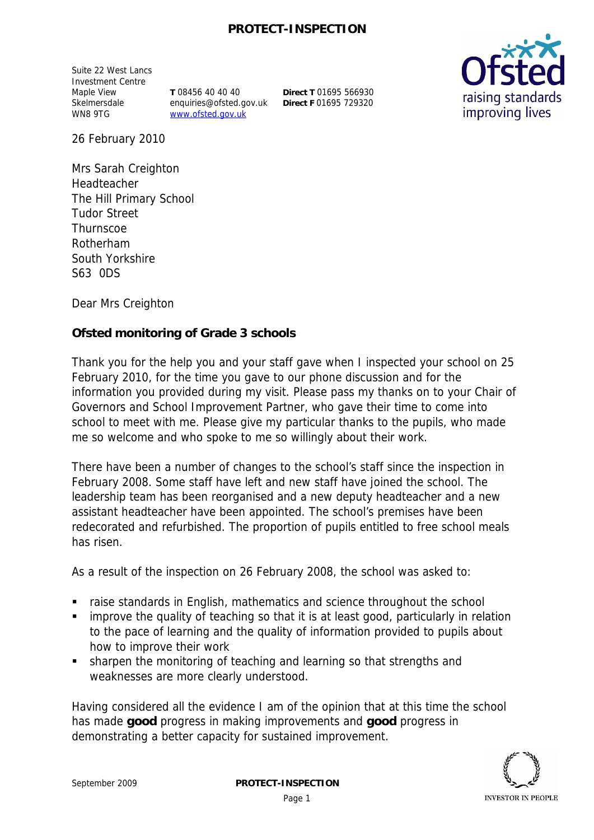## **PROTECT-INSPECTION**

Suite 22 West Lancs Investment Centre Maple View Skelmersdale WN8 9TG

**T** 08456 40 40 40 enquiries@ofsted.gov.uk www.ofsted.gov.uk

**Direct T** 01695 566930 **Direct F** 01695 729320



26 February 2010

Mrs Sarah Creighton Headteacher The Hill Primary School Tudor Street **Thurnscoe** Rotherham South Yorkshire S63 0DS

Dear Mrs Creighton

**Ofsted monitoring of Grade 3 schools**

Thank you for the help you and your staff gave when I inspected your school on 25 February 2010*,* for the time you gave to our phone discussion and for the information you provided during my visit. Please pass my thanks on to your Chair of Governors and School Improvement Partner, who gave their time to come into school to meet with me. Please give my particular thanks to the pupils, who made me so welcome and who spoke to me so willingly about their work.

There have been a number of changes to the school's staff since the inspection in February 2008. Some staff have left and new staff have joined the school. The leadership team has been reorganised and a new deputy headteacher and a new assistant headteacher have been appointed. The school's premises have been redecorated and refurbished. The proportion of pupils entitled to free school meals has risen.

As a result of the inspection on 26 February 2008, the school was asked to:

- raise standards in English, mathematics and science throughout the school
- improve the quality of teaching so that it is at least good, particularly in relation to the pace of learning and the quality of information provided to pupils about how to improve their work
- sharpen the monitoring of teaching and learning so that strengths and weaknesses are more clearly understood.

Having considered all the evidence I am of the opinion that at this time the school has made **good** progress in making improvements and **good** progress in demonstrating a better capacity for sustained improvement.

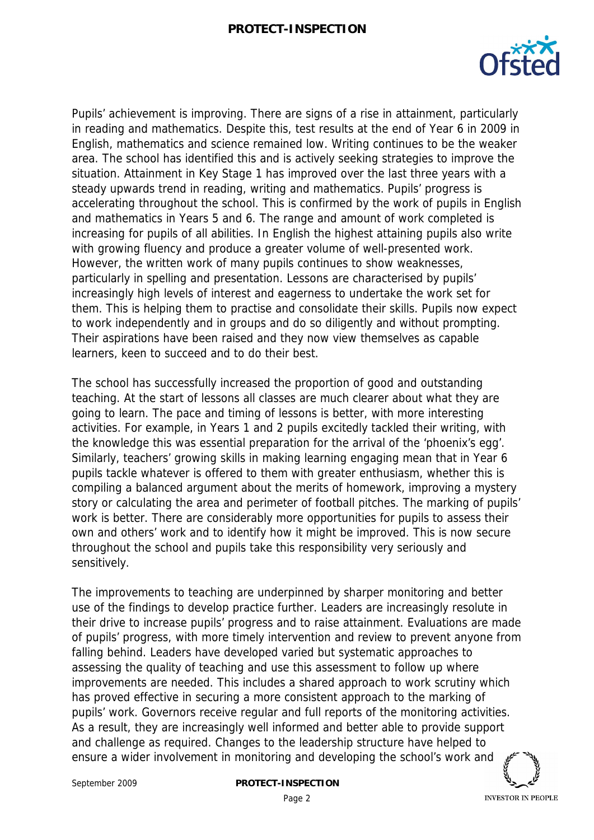

Pupils' achievement is improving. There are signs of a rise in attainment, particularly in reading and mathematics. Despite this, test results at the end of Year 6 in 2009 in English, mathematics and science remained low. Writing continues to be the weaker area. The school has identified this and is actively seeking strategies to improve the situation. Attainment in Key Stage 1 has improved over the last three years with a steady upwards trend in reading, writing and mathematics. Pupils' progress is accelerating throughout the school. This is confirmed by the work of pupils in English and mathematics in Years 5 and 6. The range and amount of work completed is increasing for pupils of all abilities. In English the highest attaining pupils also write with growing fluency and produce a greater volume of well-presented work. However, the written work of many pupils continues to show weaknesses, particularly in spelling and presentation. Lessons are characterised by pupils' increasingly high levels of interest and eagerness to undertake the work set for them. This is helping them to practise and consolidate their skills. Pupils now expect to work independently and in groups and do so diligently and without prompting. Their aspirations have been raised and they now view themselves as capable learners, keen to succeed and to do their best.

The school has successfully increased the proportion of good and outstanding teaching. At the start of lessons all classes are much clearer about what they are going to learn. The pace and timing of lessons is better, with more interesting activities. For example, in Years 1 and 2 pupils excitedly tackled their writing, with the knowledge this was essential preparation for the arrival of the 'phoenix's egg'. Similarly, teachers' growing skills in making learning engaging mean that in Year 6 pupils tackle whatever is offered to them with greater enthusiasm, whether this is compiling a balanced argument about the merits of homework, improving a mystery story or calculating the area and perimeter of football pitches. The marking of pupils' work is better. There are considerably more opportunities for pupils to assess their own and others' work and to identify how it might be improved. This is now secure throughout the school and pupils take this responsibility very seriously and sensitively.

The improvements to teaching are underpinned by sharper monitoring and better use of the findings to develop practice further. Leaders are increasingly resolute in their drive to increase pupils' progress and to raise attainment. Evaluations are made of pupils' progress, with more timely intervention and review to prevent anyone from falling behind. Leaders have developed varied but systematic approaches to assessing the quality of teaching and use this assessment to follow up where improvements are needed. This includes a shared approach to work scrutiny which has proved effective in securing a more consistent approach to the marking of pupils' work. Governors receive regular and full reports of the monitoring activities. As a result, they are increasingly well informed and better able to provide support and challenge as required. Changes to the leadership structure have helped to ensure a wider involvement in monitoring and developing the school's work and